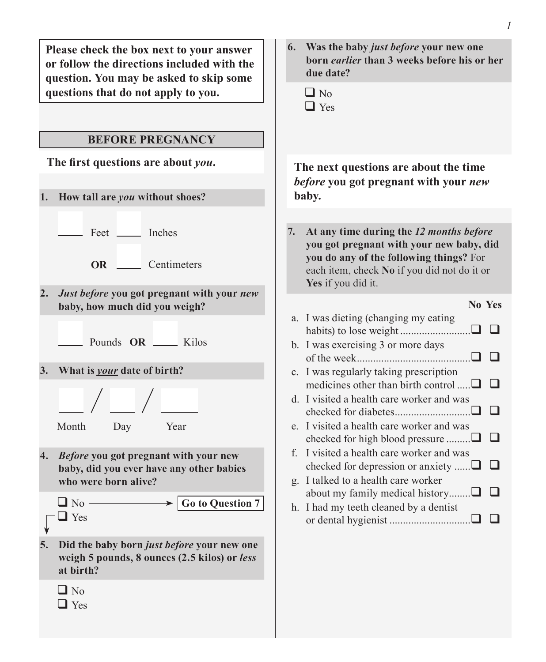| Please check the box next to your answer<br>or follow the directions included with the<br>question. You may be asked to skip some<br>questions that do not apply to you.<br><b>BEFORE PREGNANCY</b>                                                                                                   | 6. Was the baby just before your new one<br>born earlier than 3 weeks before his or her<br>due date?<br>$\Box$ No<br>$\Box$ Yes                                                                                                                                                                                                |
|-------------------------------------------------------------------------------------------------------------------------------------------------------------------------------------------------------------------------------------------------------------------------------------------------------|--------------------------------------------------------------------------------------------------------------------------------------------------------------------------------------------------------------------------------------------------------------------------------------------------------------------------------|
| The first questions are about you.<br>1. How tall are you without shoes?                                                                                                                                                                                                                              | The next questions are about the time<br>before you got pregnant with your new<br>baby.                                                                                                                                                                                                                                        |
| Feet _______ Inches<br>OR Centimeters                                                                                                                                                                                                                                                                 | At any time during the 12 months before<br>7.<br>you got pregnant with your new baby, did<br>you do any of the following things? For<br>each item, check No if you did not do it or<br>Yes if you did it.                                                                                                                      |
| Just before you got pregnant with your new<br>2.<br>baby, how much did you weigh?<br>Pounds OR __ Kilos<br>3. What is your date of birth?<br>Month<br>Day<br>Year                                                                                                                                     | No Yes<br>a. I was dieting (changing my eating<br>b. I was exercising 3 or more days<br>c. I was regularly taking prescription<br>medicines other than birth control $\Box$<br>d. I visited a health care worker and was<br>$\Box$<br>e. I visited a health care worker and was<br>❏<br>checked for high blood pressure $\Box$ |
| Before you got pregnant with your new<br>4.<br>baby, did you ever have any other babies<br>who were born alive?<br>$\Box$ No -<br><b>Go to Question 7</b><br>$\Box$ Yes<br>5.<br>Did the baby born just before your new one<br>weigh 5 pounds, 8 ounces (2.5 kilos) or less<br>at birth?<br>$\Box$ No | f. I visited a health care worker and was<br>checked for depression or anxiety $\Box$<br>⊔<br>g. I talked to a health care worker<br>about my family medical history $\Box$<br>ப<br>h. I had my teeth cleaned by a dentist<br>or dental hygienist                                                                              |
| $\Box$ Yes                                                                                                                                                                                                                                                                                            |                                                                                                                                                                                                                                                                                                                                |

*1*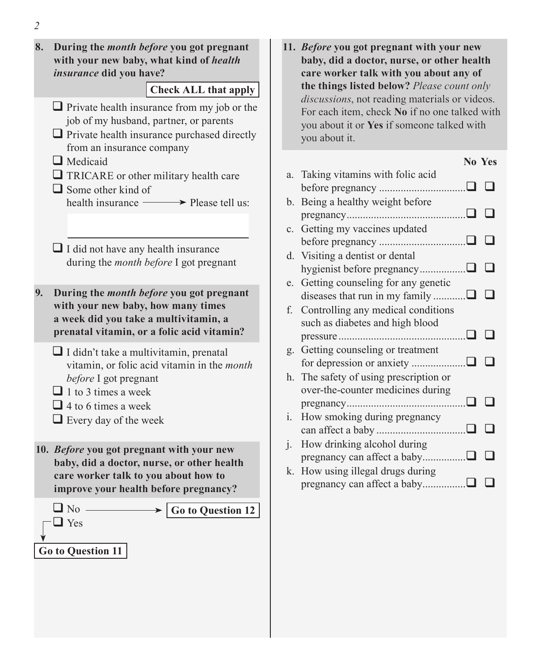- **8. During the** *month before* **you got pregnant with your new baby, what kind of** *health insurance* **did you have?**  $\Box$  Private health insurance from my job or the job of my husband, partner, or parents  $\Box$  Private health insurance purchased directly from an insurance company **Q** Medicaid TRICARE or other military health care  $\Box$  Some other kind of health insurance  $\longrightarrow$  Please tell us:  $\Box$  I did not have any health insurance during the *month before* I got pregnant **Check ALL that apply 9. During the** *month before* **you got pregnant with your new baby, how many times a week did you take a multivitamin, a prenatal vitamin, or a folic acid vitamin?**  I didn't take a multivitamin, prenatal vitamin, or folic acid vitamin in the *month before* I got pregnant  $\Box$  1 to 3 times a week  $\Box$  4 to 6 times a week  $\Box$  Every day of the week **10.** *Before* **you got pregnant with your new baby, did a doctor, nurse, or other health care worker talk to you about how to improve your health before pregnancy?**  $\Box$  No - $\Box$  Yes **Go to Question 12 Go to Question 11**
	- **11.** *Before* **you got pregnant with your new baby, did a doctor, nurse, or other health care worker talk with you about any of the things listed below?** *Please count only discussions*, not reading materials or videos. For each item, check **No** if no one talked with you about it or **Yes** if someone talked with you about it.

|    |                                     | No Yes |
|----|-------------------------------------|--------|
|    | a. Taking vitamins with folic acid  |        |
|    |                                     |        |
| b. | Being a healthy weight before       |        |
|    |                                     |        |
|    | c. Getting my vaccines updated      |        |
|    |                                     |        |
| d. | Visiting a dentist or dental        |        |
|    |                                     |        |
| e. | Getting counseling for any genetic  |        |
|    |                                     |        |
| f. | Controlling any medical conditions  |        |
|    | such as diabetes and high blood     |        |
|    |                                     |        |
| g. | Getting counseling or treatment     |        |
|    |                                     |        |
| h. | The safety of using prescription or |        |
|    | over-the-counter medicines during   |        |
|    |                                     |        |
| i. | How smoking during pregnancy        |        |
|    |                                     |        |
| j. | How drinking alcohol during         |        |
|    | pregnancy can affect a baby□ □      |        |
| k. | How using illegal drugs during      |        |
|    |                                     |        |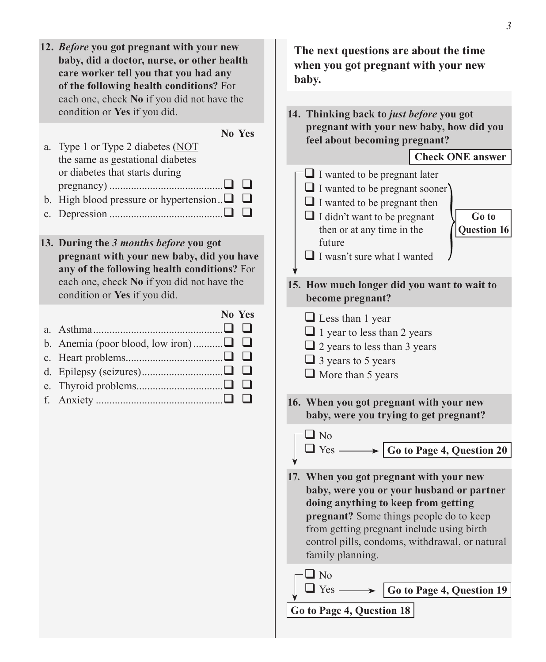- **12.** *Before* **you got pregnant with your new baby, did a doctor, nurse, or other health care worker tell you that you had any of the following health conditions?** For each one, check **No** if you did not have the condition or **Yes** if you did. **No Yes** a. Type 1 or Type 2 diabetes (NOT the same as gestational diabetes or diabetes that starts during pregnancy) .......................................... b. High blood pressure or hypertension.  $\Box$   $\Box$ c. Depression .......................................... **13. During the** *3 months before* **you got pregnant with your new baby, did you have any of the following health conditions?** For each one, check **No** if you did not have the condition or **Yes** if you did. **No Yes** a. Asthma................................................ b. Anemia (poor blood, low iron)............ $\Box$  $\Box$ c. Heart problems.................................... d. Epilepsy (seizures)...............................□ □ e. Thyroid problems................................ f. Anxiety ............................................... **The next questions are about the time baby.** future  $\Box$  No  $\Box$  No
	- **when you got pregnant with your new 14. Thinking back to** *just before* **you got pregnant with your new baby, how did you feel about becoming pregnant?**   $\Box$  I wanted to be pregnant later  $\Box$  I wanted to be pregnant sooner  $\Box$  I wanted to be pregnant then  $\Box$  I didn't want to be pregnant then or at any time in the  $\Box$  I wasn't sure what I wanted **Check ONE answer Go to Question 16 15. How much longer did you want to wait to become pregnant?**  $\Box$  Less than 1 year  $\Box$  1 year to less than 2 years  $\Box$  2 years to less than 3 years  $\Box$  3 years to 5 years  $\Box$  More than 5 years **16. When you got pregnant with your new baby, were you trying to get pregnant?**  $\Box$  Yes  $\longrightarrow$   $\Box$  Go to Page 4, Question 20 **17. When you got pregnant with your new baby, were you or your husband or partner doing anything to keep from getting pregnant?** Some things people do to keep from getting pregnant include using birth control pills, condoms, withdrawal, or natural family planning.  $\Box$  Yes  $\longrightarrow$   $\Box$  Go to Page 4, Question 19 **Go to Page 4, Question 18**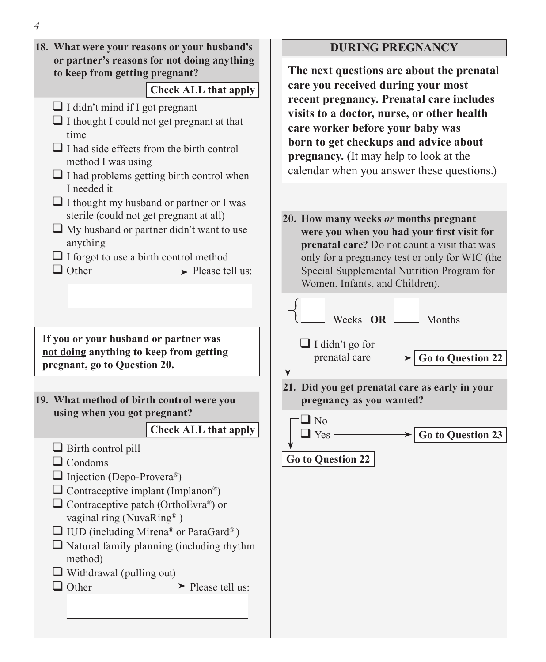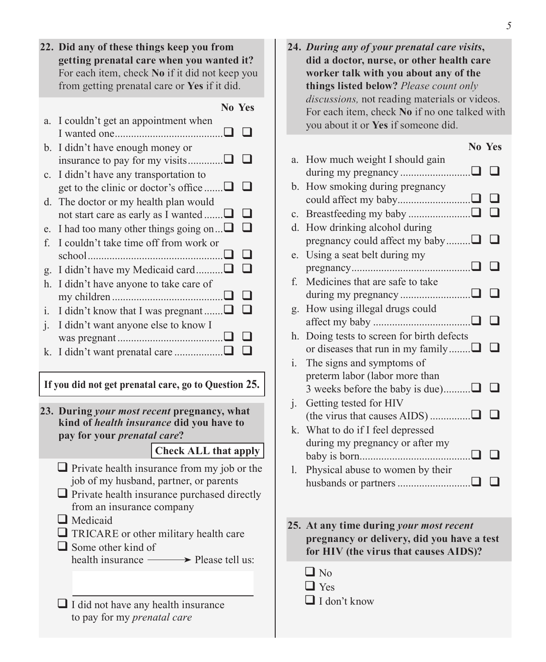|                             | 22. Did any of these things keep you from<br>getting prenatal care when you wanted it?<br>For each item, check No if it did not keep you<br>from getting prenatal care or Yes if it did. |  |  |
|-----------------------------|------------------------------------------------------------------------------------------------------------------------------------------------------------------------------------------|--|--|
|                             | <b>No Yes</b>                                                                                                                                                                            |  |  |
|                             |                                                                                                                                                                                          |  |  |
| a.                          | I couldn't get an appointment when                                                                                                                                                       |  |  |
|                             |                                                                                                                                                                                          |  |  |
| $b_{\cdot}$                 | I didn't have enough money or                                                                                                                                                            |  |  |
|                             |                                                                                                                                                                                          |  |  |
| c.                          | I didn't have any transportation to                                                                                                                                                      |  |  |
|                             | get to the clinic or doctor's office $\Box$<br>- 1                                                                                                                                       |  |  |
|                             |                                                                                                                                                                                          |  |  |
| d.                          | The doctor or my health plan would                                                                                                                                                       |  |  |
|                             | l 1<br>not start care as early as I wanted ∟                                                                                                                                             |  |  |
| e.                          | I had too many other things going on $\Box$<br>l 1                                                                                                                                       |  |  |
| f                           | I couldn't take time off from work or                                                                                                                                                    |  |  |
|                             |                                                                                                                                                                                          |  |  |
|                             | I didn't have my Medicaid card                                                                                                                                                           |  |  |
| g.                          |                                                                                                                                                                                          |  |  |
| $h_{\cdot}$                 | I didn't have anyone to take care of                                                                                                                                                     |  |  |
|                             |                                                                                                                                                                                          |  |  |
| i.                          | I didn't know that I was pregnant $\Box$                                                                                                                                                 |  |  |
| $\mathbf{1}$ .              | I didn't want anyone else to know I                                                                                                                                                      |  |  |
|                             |                                                                                                                                                                                          |  |  |
| k.                          | I                                                                                                                                                                                        |  |  |
|                             |                                                                                                                                                                                          |  |  |
|                             |                                                                                                                                                                                          |  |  |
|                             | If you did not get prenatal care, go to Question 25.                                                                                                                                     |  |  |
|                             |                                                                                                                                                                                          |  |  |
|                             | 23. During your most recent pregnancy, what                                                                                                                                              |  |  |
|                             | kind of health insurance did you have to                                                                                                                                                 |  |  |
|                             | pay for your <i>prenatal care</i> ?                                                                                                                                                      |  |  |
|                             | <b>Check ALL that apply</b>                                                                                                                                                              |  |  |
|                             |                                                                                                                                                                                          |  |  |
|                             | $\Box$ Private health insurance from my job or the                                                                                                                                       |  |  |
|                             | job of my husband, partner, or parents                                                                                                                                                   |  |  |
|                             | $\Box$ Private health insurance purchased directly                                                                                                                                       |  |  |
| from an insurance company   |                                                                                                                                                                                          |  |  |
| Medicaid                    |                                                                                                                                                                                          |  |  |
|                             |                                                                                                                                                                                          |  |  |
|                             | $\Box$ TRICARE or other military health care                                                                                                                                             |  |  |
|                             | $\Box$ Some other kind of                                                                                                                                                                |  |  |
|                             | health insurance -<br>$\rightarrow$ Please tell us:                                                                                                                                      |  |  |
|                             |                                                                                                                                                                                          |  |  |
|                             |                                                                                                                                                                                          |  |  |
|                             |                                                                                                                                                                                          |  |  |
|                             | $\Box$ I did not have any health insurance                                                                                                                                               |  |  |
| to pay for my prenatal care |                                                                                                                                                                                          |  |  |

- **24.** *During any of your prenatal care visits***, did a doctor, nurse, or other health care worker talk with you about any of the things listed below?** *Please count only discussions,* not reading materials or videos. For each item, check **No** if no one talked with you about it or **Yes** if someone did. **No Yes** a. How much weight I should gain during my pregnancy  $\Box$
- b. How smoking during pregnancy could affect my baby........................... c. Breastfeeding my baby ....................... d. How drinking alcohol during pregnancy could affect my baby......... $\Box$  $\Box$ e. Using a seat belt during my pregnancy............................................ f. Medicines that are safe to take during my pregnancy .............................. $\Box$  $\Box$ g. How using illegal drugs could affect my baby .................................... h. Doing tests to screen for birth defects or diseases that run in my family........ $\Box$  $\Box$ i. The signs and symptoms of preterm labor (labor more than 3 weeks before the baby is due)............ $\Box$  $\Box$ j. Getting tested for HIV (the virus that causes AIDS) ............... k. What to do if I feel depressed during my pregnancy or after my baby is born.........................................
- l. Physical abuse to women by their husbands or partners...........................
- **25. At any time during** *your most recent* **pregnancy or delivery, did you have a test for HIV (the virus that causes AIDS)?**
	- $\Box$  No  $\Box$  Yes  $\Box$  I don't know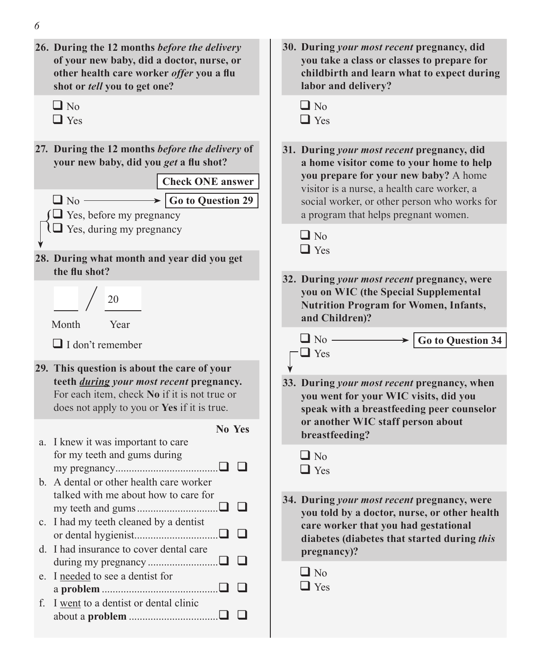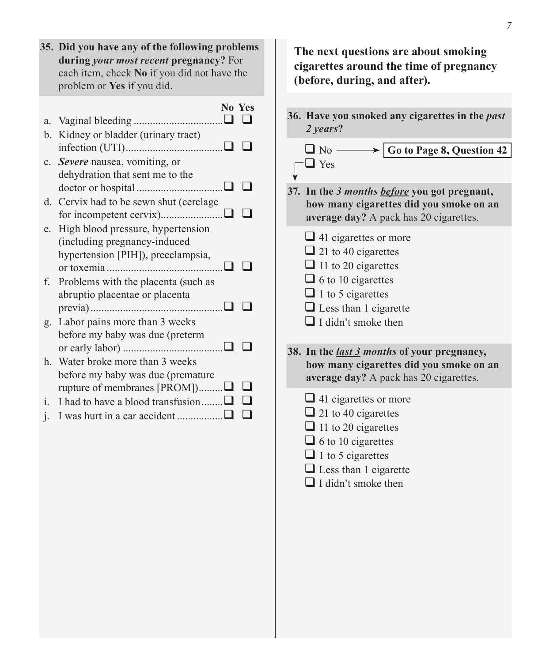|                | 35. Did you have any of the following problems<br>during your most recent pregnancy? For<br>each item, check No if you did not have the<br>problem or Yes if you did. |  |
|----------------|-----------------------------------------------------------------------------------------------------------------------------------------------------------------------|--|
|                | No Yes                                                                                                                                                                |  |
| a.             |                                                                                                                                                                       |  |
| b.             | Kidney or bladder (urinary tract)                                                                                                                                     |  |
|                |                                                                                                                                                                       |  |
| $\mathbf{c}$ . | Severe nausea, vomiting, or                                                                                                                                           |  |
|                | dehydration that sent me to the                                                                                                                                       |  |
|                |                                                                                                                                                                       |  |
| d.             | Cervix had to be sewn shut (cerclage                                                                                                                                  |  |
|                |                                                                                                                                                                       |  |
| e.             | High blood pressure, hypertension                                                                                                                                     |  |
|                | (including pregnancy-induced                                                                                                                                          |  |
|                | hypertension [PIH]), preeclampsia,                                                                                                                                    |  |
| f.             | Problems with the placenta (such as                                                                                                                                   |  |
|                | abruptio placentae or placenta                                                                                                                                        |  |
|                |                                                                                                                                                                       |  |
| g.             | Labor pains more than 3 weeks                                                                                                                                         |  |
|                | before my baby was due (preterm                                                                                                                                       |  |
|                |                                                                                                                                                                       |  |
| h.             | Water broke more than 3 weeks                                                                                                                                         |  |
|                | before my baby was due (premature                                                                                                                                     |  |
|                | rupture of membranes [PROM])□                                                                                                                                         |  |
| i.             | I had to have a blood transfusion $\Box$                                                                                                                              |  |
| $\mathbf{1}$ . |                                                                                                                                                                       |  |
|                |                                                                                                                                                                       |  |

**The next questions are about smoking cigarettes around the time of pregnancy (before, during, and after). 36. Have you smoked any cigarettes in the** *past 2 years***?**



- **37. In the** *3 months before* **you got pregnant, how many cigarettes did you smoke on an average day?** A pack has 20 cigarettes.
	- $\Box$  41 cigarettes or more
	- $\Box$  21 to 40 cigarettes
	- $\Box$  11 to 20 cigarettes
	- $\Box$  6 to 10 cigarettes
	- $\Box$  1 to 5 cigarettes
	- **Less than 1 cigarette**
	- $\Box$  I didn't smoke then

**38. In the** *last 3 months* **of your pregnancy, how many cigarettes did you smoke on an average day?** A pack has 20 cigarettes.

- $\Box$  41 cigarettes or more
- $\Box$  21 to 40 cigarettes
- $\Box$  11 to 20 cigarettes
- $\Box$  6 to 10 cigarettes
- $\Box$  1 to 5 cigarettes
- □ Less than 1 cigarette
- $\Box$  I didn't smoke then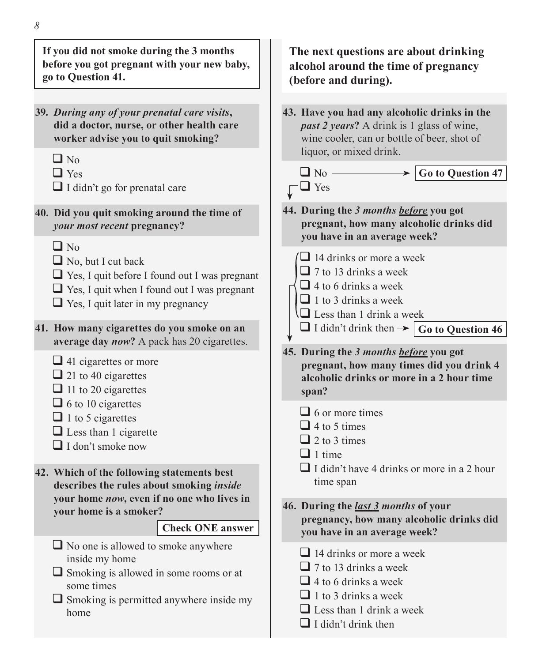| If you did not smoke during the 3 months<br>before you got pregnant with your new baby,<br>go to Question 41.                                                                                                                                                                                                                                           | The next questions are about drinking<br>alcohol around the time of pregnancy<br>(before and during).                                                                                                       |
|---------------------------------------------------------------------------------------------------------------------------------------------------------------------------------------------------------------------------------------------------------------------------------------------------------------------------------------------------------|-------------------------------------------------------------------------------------------------------------------------------------------------------------------------------------------------------------|
| 39. During any of your prenatal care visits,<br>did a doctor, nurse, or other health care<br>worker advise you to quit smoking?                                                                                                                                                                                                                         | 43. Have you had any alcoholic drinks in the<br><i>past 2 years</i> ? A drink is 1 glass of wine,<br>wine cooler, can or bottle of beer, shot of<br>liquor, or mixed drink.                                 |
| $\Box$ No<br>$\Box$ Yes<br>$\Box$ I didn't go for prenatal care                                                                                                                                                                                                                                                                                         | $\Box$ No $-$<br>Go to Question 47<br>$\Box$ Yes                                                                                                                                                            |
| 40. Did you quit smoking around the time of<br>your most recent pregnancy?                                                                                                                                                                                                                                                                              | 44. During the 3 months before you got<br>pregnant, how many alcoholic drinks did<br>you have in an average week?                                                                                           |
| $\Box$ No<br>$\Box$ No, but I cut back<br>$\Box$ Yes, I quit before I found out I was pregnant<br>$\Box$ Yes, I quit when I found out I was pregnant<br>$\Box$ Yes, I quit later in my pregnancy                                                                                                                                                        | $\Box$ 14 drinks or more a week<br>$\Box$ 7 to 13 drinks a week<br>$\Box$ 4 to 6 drinks a week<br>$\Box$ 1 to 3 drinks a week<br>$\Box$ Less than 1 drink a week                                            |
| 41. How many cigarettes do you smoke on an<br>average day now? A pack has 20 cigarettes.<br>$\Box$ 41 cigarettes or more<br>$\Box$ 21 to 40 cigarettes<br>$\Box$ 11 to 20 cigarettes<br>$\Box$ 6 to 10 cigarettes<br>$\Box$ 1 to 5 cigarettes<br>$\Box$ Less than 1 cigarette<br>$\Box$ I don't smoke now<br>42. Which of the following statements best | $\Box$ I didn't drink then $\rightarrow \Box$ Go to Question 46<br>45. During the 3 months before you got<br>pregnant, how many times did you drink 4<br>alcoholic drinks or more in a 2 hour time<br>span? |
|                                                                                                                                                                                                                                                                                                                                                         | $\Box$ 6 or more times<br>$\Box$ 4 to 5 times<br>$\Box$ 2 to 3 times<br>$\Box$ 1 time<br>$\Box$ I didn't have 4 drinks or more in a 2 hour<br>time span                                                     |
| describes the rules about smoking inside<br>your home now, even if no one who lives in<br>your home is a smoker?<br><b>Check ONE answer</b>                                                                                                                                                                                                             | 46. During the <i>last 3 months</i> of your<br>pregnancy, how many alcoholic drinks did<br>you have in an average week?                                                                                     |
| $\Box$ No one is allowed to smoke anywhere<br>inside my home<br>$\Box$ Smoking is allowed in some rooms or at<br>some times<br>$\Box$ Smoking is permitted anywhere inside my<br>home                                                                                                                                                                   | $\Box$ 14 drinks or more a week<br>$\Box$ 7 to 13 drinks a week<br>$\Box$ 4 to 6 drinks a week<br>$\Box$ 1 to 3 drinks a week<br>$\Box$ Less than 1 drink a week<br>$\Box$ I didn't drink then              |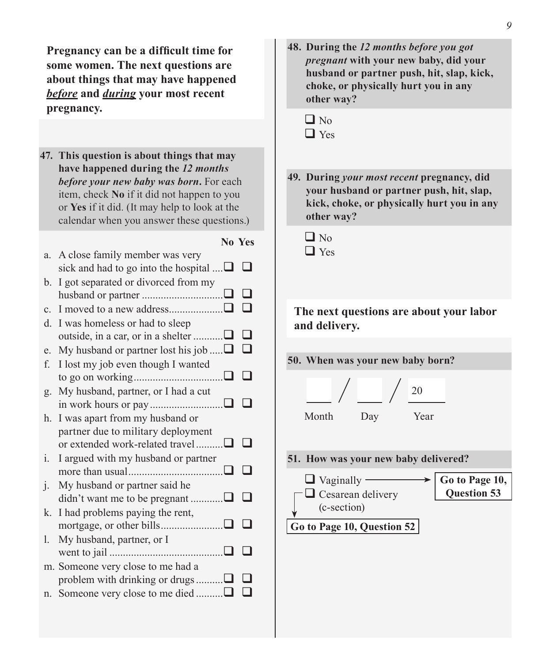**Pregnancy can be a difficult time for some women. The next questions are about things that may have happened**  *before* **and** *during* **your most recent pregnancy.** 

**47. This question is about things that may have happened during the** *12 months before your new baby was born***.** For each item, check **No** if it did not happen to you or **Yes** if it did. (It may help to look at the calendar when you answer these questions.)

## **No Yes**

| a.             | A close family member was very                    |  |
|----------------|---------------------------------------------------|--|
|                | sick and had to go into the hospital $\dots \Box$ |  |
| b.             | I got separated or divorced from my               |  |
|                |                                                   |  |
| C.             |                                                   |  |
| d.             | I was homeless or had to sleep                    |  |
|                | outside, in a car, or in a shelter ∟              |  |
| e.             | My husband or partner lost his job $\Box$         |  |
| f.             | I lost my job even though I wanted                |  |
|                |                                                   |  |
| g.             | My husband, partner, or I had a cut               |  |
|                |                                                   |  |
| h.             | I was apart from my husband or                    |  |
|                | partner due to military deployment                |  |
|                | or extended work-related travel                   |  |
| $\mathbf{i}$ . | I argued with my husband or partner               |  |
|                |                                                   |  |
| $\mathbf{1}$ . | My husband or partner said he                     |  |
|                | didn't want me to be pregnant                     |  |
| k.             | I had problems paying the rent,                   |  |
|                |                                                   |  |
| 1.             | My husband, partner, or I                         |  |
|                |                                                   |  |
|                | m. Someone very close to me had a                 |  |
|                | problem with drinking or drugs ∟                  |  |
| n.             | Someone very close to me died □                   |  |
|                |                                                   |  |

**48. During the** *12 months before you got pregnant* **with your new baby, did your husband or partner push, hit, slap, kick, choke, or physically hurt you in any other way?**

- **49. During** *your most recent* **pregnancy, did your husband or partner push, hit, slap, kick, choke, or physically hurt you in any other way?**
	- $\Box$  No □ Yes

**The next questions are about your labor and delivery.**

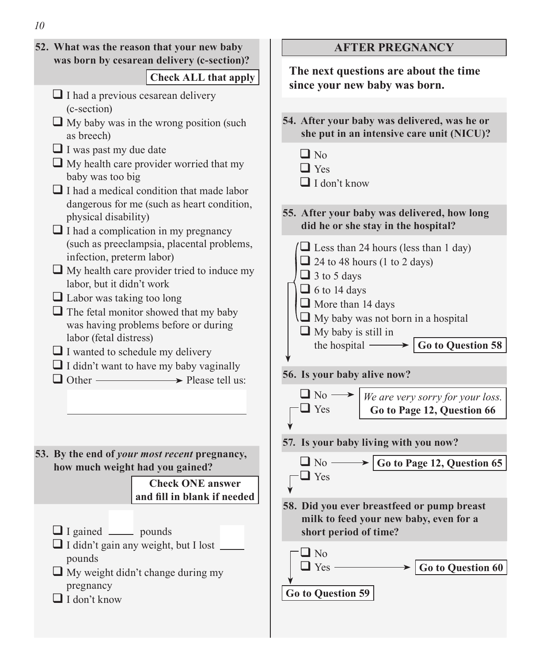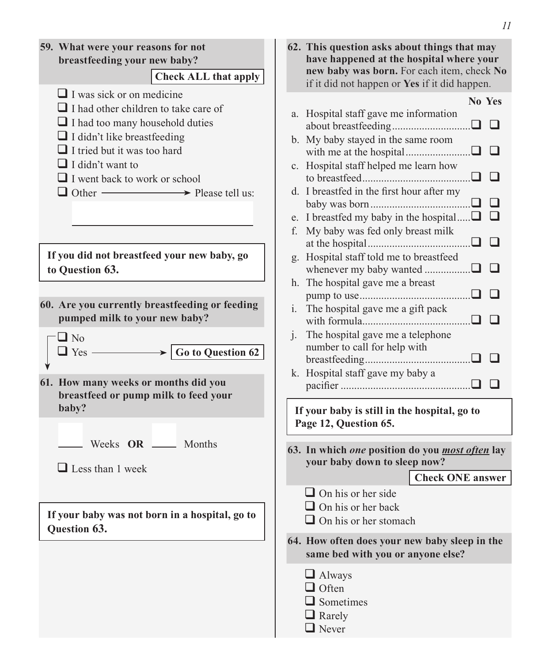|                                                                                                                                                                                                                                                                                                                            | II                                                                                                                                                                                                                                                                                                                     |
|----------------------------------------------------------------------------------------------------------------------------------------------------------------------------------------------------------------------------------------------------------------------------------------------------------------------------|------------------------------------------------------------------------------------------------------------------------------------------------------------------------------------------------------------------------------------------------------------------------------------------------------------------------|
| 59. What were your reasons for not<br>breastfeeding your new baby?<br><b>Check ALL that apply</b>                                                                                                                                                                                                                          | 62. This question asks about things that may<br>have happened at the hospital where your<br>new baby was born. For each item, check No<br>if it did not happen or Yes if it did happen.                                                                                                                                |
| $\Box$ I was sick or on medicine<br>$\Box$ I had other children to take care of<br>$\Box$ I had too many household duties<br>$\Box$ I didn't like breastfeeding<br>$\Box$ I tried but it was too hard<br>$\Box$ I didn't want to<br>$\Box$ I went back to work or school<br>$\Box$ Other $\longrightarrow$ Please tell us: | No Yes<br>a. Hospital staff gave me information<br>$\Box$<br>b. My baby stayed in the same room<br>$\mathsf{L}$<br>c. Hospital staff helped me learn how<br>$\Box$<br>d. I breastfed in the first hour after my<br>$\Box$<br>e. I breastfed my baby in the hospital $\Box$<br>ப<br>f. My baby was fed only breast milk |
| If you did not breastfeed your new baby, go<br>to Question 63.<br>60. Are you currently breastfeeding or feeding<br>pumped milk to your new baby?                                                                                                                                                                          | $\blacksquare$<br>g. Hospital staff told me to breastfeed<br>$\blacksquare$<br>whenever my baby wanted<br>$\blacksquare$<br>h. The hospital gave me a breast<br>$\mathsf{L}$<br>i. The hospital gave me a gift pack<br>$\mathsf{L}$                                                                                    |
| $\Box$ No<br>Go to Question 62<br>$\Box$ Yes -<br>61. How many weeks or months did you<br>breastfeed or pump milk to feed your<br>baby?                                                                                                                                                                                    | The hospital gave me a telephone<br>$\mathbf{i}$ .<br>number to call for help with<br>k. Hospital staff gave my baby a<br>If your baby is still in the hospital, go to                                                                                                                                                 |
| Weeks OR ______ Months<br>$\Box$ Less than 1 week                                                                                                                                                                                                                                                                          | Page 12, Question 65.<br>63. In which one position do you <i>most often</i> lay<br>your baby down to sleep now?<br><b>Check ONE</b> answer<br>$\Box$ On his or her side                                                                                                                                                |
| If your baby was not born in a hospital, go to<br>Question 63.                                                                                                                                                                                                                                                             | $\Box$ On his or her back<br>$\Box$ On his or her stomach<br>64. How often does your new baby sleep in the<br>same bed with you or anyone else?<br>$\Box$ Always<br>$\Box$ Often<br>$\Box$ Sometimes<br>$\Box$ Rarely                                                                                                  |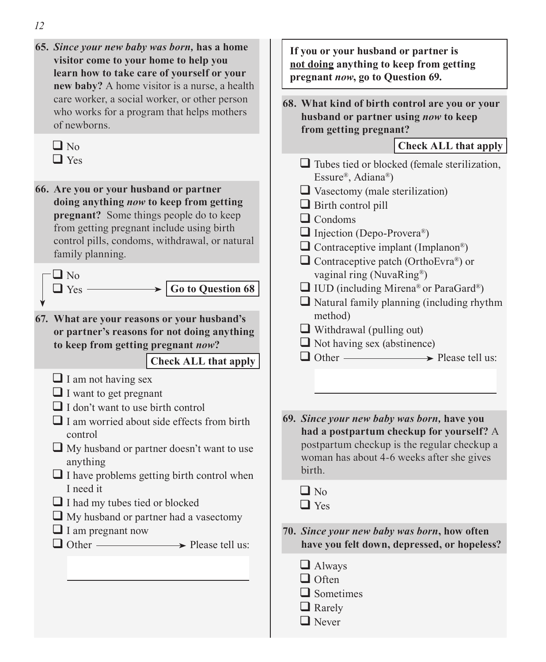**65.** *Since your new baby was born,* **has a home visitor come to your home to help you learn how to take care of yourself or your new baby?** A home visitor is a nurse, a health care worker, a social worker, or other person who works for a program that helps mothers of newborns.

| I |
|---|

**66. Are you or your husband or partner doing anything** *now* **to keep from getting pregnant?** Some things people do to keep from getting pregnant include using birth control pills, condoms, withdrawal, or natural family planning.

 $\Box$  No  $\Box$  Yes  $\longrightarrow$   $\Box$  Go to Question 68

**67. What are your reasons or your husband's or partner's reasons for not doing anything to keep from getting pregnant** *now***?**

**Check ALL that apply**

- $\Box$  I am not having sex
- $\Box$  I want to get pregnant
- $\Box$  I don't want to use birth control
- $\Box$  I am worried about side effects from birth control
- $\Box$  My husband or partner doesn't want to use anything
- $\Box$  I have problems getting birth control when I need it
- $\Box$  I had my tubes tied or blocked
- $\Box$  My husband or partner had a vasectomy
- $\Box$  I am pregnant now
- $\Box$  Other  $\longrightarrow$  Please tell us:

**If you or your husband or partner is not doing anything to keep from getting pregnant** *now***, go to Question 69.**

**68. What kind of birth control are you or your husband or partner using** *now* **to keep from getting pregnant?** 

## **Check ALL that apply**

- $\Box$  Tubes tied or blocked (female sterilization, Essure®, Adiana®)
- $\Box$  Vasectomy (male sterilization)
- $\Box$  Birth control pill
- $\Box$  Condoms
- $\Box$  Injection (Depo-Provera®)
- $\Box$  Contraceptive implant (Implanon®)
- $\Box$  Contraceptive patch (OrthoEvra®) or vaginal ring (NuvaRing®)
- $\Box$  IUD (including Mirena® or ParaGard®)
- $\Box$  Natural family planning (including rhythm method)
- $\Box$  Withdrawal (pulling out)
- $\Box$  Not having sex (abstinence)
- $\Box$  Other  $\longrightarrow$  Please tell us:
- **69.** *Since your new baby was born,* **have you had a postpartum checkup for yourself?** A postpartum checkup is the regular checkup a woman has about 4-6 weeks after she gives birth.
	- $\Box$  No  $\Box$  Yes
- **70.** *Since your new baby was born***, how often have you felt down, depressed, or hopeless?**
	- **A**lways
	- $\Box$  Often
	- $\Box$  Sometimes
	- $\Box$  Rarely
	- **Never**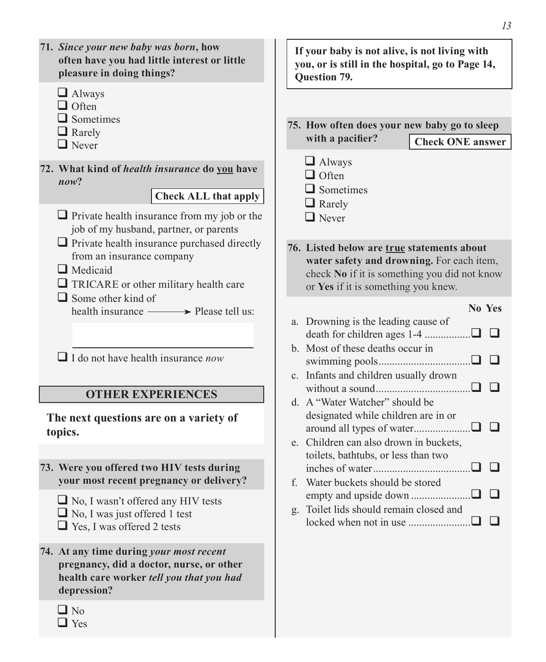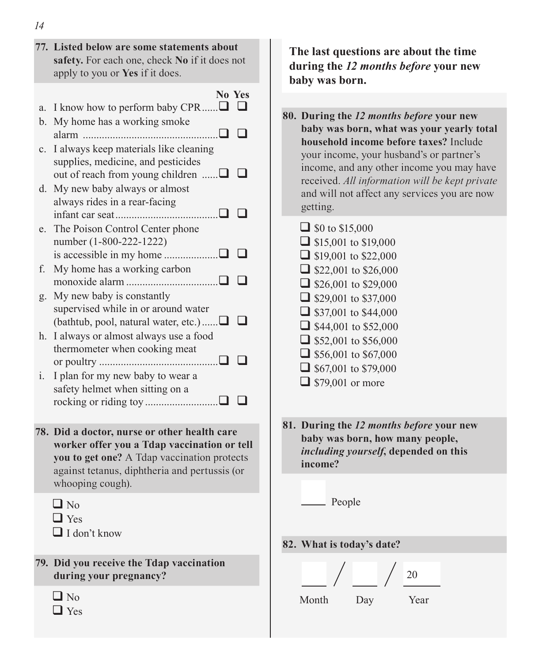- **77. Listed below are some statements about safety.** For each one, check **No** if it does not apply to you or **Yes** if it does.
- **No Yes** a. I know how to perform baby CPR...... $\Box$  $\Box$ b. My home has a working smoke alarm .................................................. c. I always keep materials like cleaning supplies, medicine, and pesticides out of reach from young children  $\Box$ d. My new baby always or almost always rides in a rear-facing infant car seat...................................... e. The Poison Control Center phone number (1-800-222-1222) is accessible in my home .................... f. My home has a working carbon monoxide alarm  $\Box$ g. My new baby is constantly supervised while in or around water (bathtub, pool, natural water, etc.)...... $\Box$  $\Box$ h. I always or almost always use a food thermometer when cooking meat or poultry  $\Box$ i. I plan for my new baby to wear a safety helmet when sitting on a rocking or riding toy ...........................
- **78. Did a doctor, nurse or other health care worker offer you a Tdap vaccination or tell you to get one?** A Tdap vaccination protects against tetanus, diphtheria and pertussis (or whooping cough).
	- $\Box$  No
	- $\Box$  Yes
	- $\Box$  I don't know
- **79. Did you receive the Tdap vaccination during your pregnancy?**
	- $\Box$  No

 $\Box$  Yes

**The last questions are about the time during the** *12 months before* **your new baby was born.**

- **80. During the** *12 months before* **your new baby was born, what was your yearly total household income before taxes?** Include your income, your husband's or partner's income, and any other income you may have received. *All information will be kept private* and will not affect any services you are now getting.
	- $\Box$  \$0 to \$15,000  $\Box$  \$15,001 to \$19,000  $\Box$  \$19,001 to \$22,000  $\Box$  \$22,001 to \$26,000  $\Box$  \$26,001 to \$29,000  $\Box$  \$29,001 to \$37,000  $\Box$  \$37,001 to \$44,000  $\Box$  \$44,001 to \$52,000  $\Box$  \$52,001 to \$56,000  $\Box$  \$56,001 to \$67,000  $\Box$  \$67,001 to \$79,000  $\Box$  \$79,001 or more
- **81. During the** *12 months before* **your new baby was born, how many people,**  *including yourself***, depended on this income?**
	- People
- **82. What is today's date?**

|       |     | 20   |
|-------|-----|------|
| Month | Day | Year |